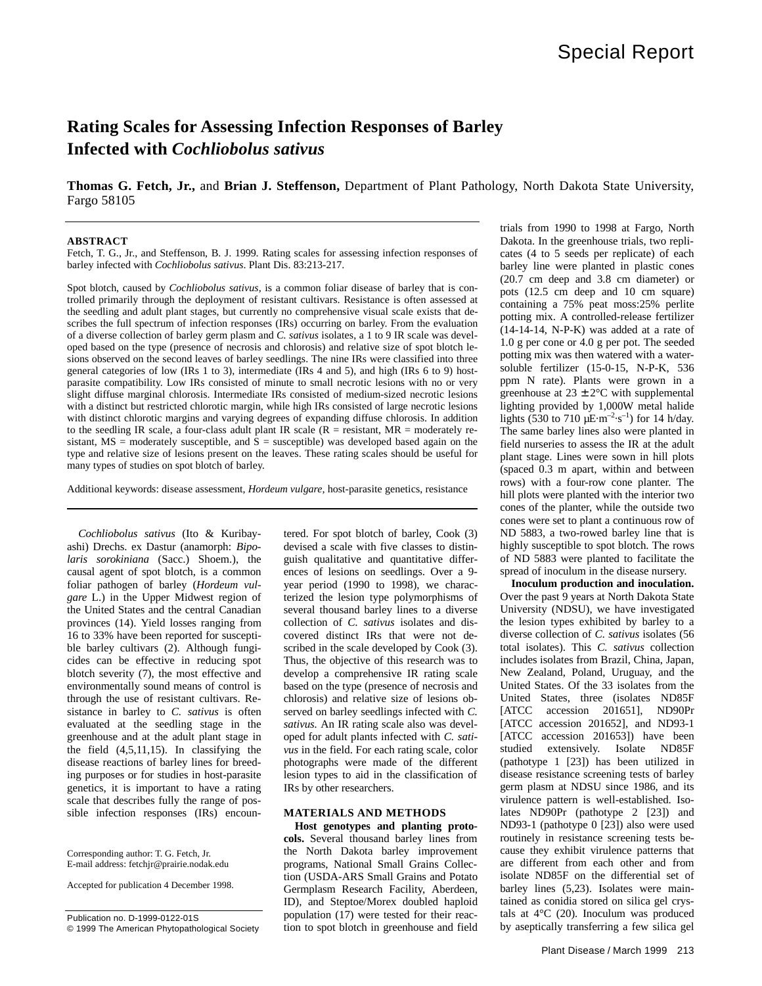# **Rating Scales for Assessing Infection Responses of Barley Infected with** *Cochliobolus sativus*

**Thomas G. Fetch, Jr.,** and **Brian J. Steffenson,** Department of Plant Pathology, North Dakota State University, Fargo 58105

## **ABSTRACT**

Fetch, T. G., Jr., and Steffenson, B. J. 1999. Rating scales for assessing infection responses of barley infected with *Cochliobolus sativus*. Plant Dis. 83:213-217.

Spot blotch, caused by *Cochliobolus sativus,* is a common foliar disease of barley that is controlled primarily through the deployment of resistant cultivars. Resistance is often assessed at the seedling and adult plant stages, but currently no comprehensive visual scale exists that describes the full spectrum of infection responses (IRs) occurring on barley. From the evaluation of a diverse collection of barley germ plasm and *C. sativus* isolates, a 1 to 9 IR scale was developed based on the type (presence of necrosis and chlorosis) and relative size of spot blotch lesions observed on the second leaves of barley seedlings. The nine IRs were classified into three general categories of low (IRs 1 to 3), intermediate (IRs 4 and 5), and high (IRs 6 to 9) hostparasite compatibility. Low IRs consisted of minute to small necrotic lesions with no or very slight diffuse marginal chlorosis. Intermediate IRs consisted of medium-sized necrotic lesions with a distinct but restricted chlorotic margin, while high IRs consisted of large necrotic lesions with distinct chlorotic margins and varying degrees of expanding diffuse chlorosis. In addition to the seedling IR scale, a four-class adult plant IR scale ( $R =$  resistant,  $MR =$  moderately resistant, MS = moderately susceptible, and  $\bar{S}$  = susceptible) was developed based again on the type and relative size of lesions present on the leaves. These rating scales should be useful for many types of studies on spot blotch of barley.

Additional keywords: disease assessment, *Hordeum vulgare,* host-parasite genetics, resistance

*Cochliobolus sativus* (Ito & Kuribayashi) Drechs. ex Dastur (anamorph: *Bipolaris sorokiniana* (Sacc.) Shoem.), the causal agent of spot blotch, is a common foliar pathogen of barley (*Hordeum vulgare* L.) in the Upper Midwest region of the United States and the central Canadian provinces (14). Yield losses ranging from 16 to 33% have been reported for susceptible barley cultivars (2). Although fungicides can be effective in reducing spot blotch severity (7), the most effective and environmentally sound means of control is through the use of resistant cultivars. Resistance in barley to *C. sativus* is often evaluated at the seedling stage in the greenhouse and at the adult plant stage in the field (4,5,11,15). In classifying the disease reactions of barley lines for breeding purposes or for studies in host-parasite genetics, it is important to have a rating scale that describes fully the range of possible infection responses (IRs) encoun-

Accepted for publication 4 December 1998.

Publication no. D-1999-0122-01S

© 1999 The American Phytopathological Society

tered. For spot blotch of barley, Cook (3) devised a scale with five classes to distinguish qualitative and quantitative differences of lesions on seedlings. Over a 9 year period (1990 to 1998), we characterized the lesion type polymorphisms of several thousand barley lines to a diverse collection of *C. sativus* isolates and discovered distinct IRs that were not described in the scale developed by Cook (3). Thus, the objective of this research was to develop a comprehensive IR rating scale based on the type (presence of necrosis and chlorosis) and relative size of lesions observed on barley seedlings infected with *C. sativus.* An IR rating scale also was developed for adult plants infected with *C. sativus* in the field. For each rating scale, color photographs were made of the different lesion types to aid in the classification of IRs by other researchers.

# **MATERIALS AND METHODS**

**Host genotypes and planting protocols.** Several thousand barley lines from the North Dakota barley improvement programs, National Small Grains Collection (USDA-ARS Small Grains and Potato Germplasm Research Facility, Aberdeen, ID), and Steptoe/Morex doubled haploid population (17) were tested for their reaction to spot blotch in greenhouse and field

trials from 1990 to 1998 at Fargo, North Dakota. In the greenhouse trials, two replicates (4 to 5 seeds per replicate) of each barley line were planted in plastic cones (20.7 cm deep and 3.8 cm diameter) or pots (12.5 cm deep and 10 cm square) containing a 75% peat moss:25% perlite potting mix. A controlled-release fertilizer (14-14-14, N-P-K) was added at a rate of 1.0 g per cone or 4.0 g per pot. The seeded potting mix was then watered with a watersoluble fertilizer (15-0-15, N-P-K, 536 ppm N rate). Plants were grown in a greenhouse at  $23 \pm 2$ °C with supplemental lighting provided by 1,000W metal halide lights (530 to 710  $\mu$ E·m<sup>-2</sup>·s<sup>-1</sup>) for 14 h/day. The same barley lines also were planted in field nurseries to assess the IR at the adult plant stage. Lines were sown in hill plots (spaced 0.3 m apart, within and between rows) with a four-row cone planter. The hill plots were planted with the interior two cones of the planter, while the outside two cones were set to plant a continuous row of ND 5883, a two-rowed barley line that is highly susceptible to spot blotch. The rows of ND 5883 were planted to facilitate the spread of inoculum in the disease nursery.

**Inoculum production and inoculation.** Over the past 9 years at North Dakota State University (NDSU), we have investigated the lesion types exhibited by barley to a diverse collection of *C. sativus* isolates (56 total isolates). This *C. sativus* collection includes isolates from Brazil, China, Japan, New Zealand, Poland, Uruguay, and the United States. Of the 33 isolates from the United States, three (isolates ND85F [ATCC accession 201651], ND90Pr [ATCC accession 201652], and ND93-1 [ATCC accession 201653]) have been studied extensively. Isolate ND85F (pathotype 1 [23]) has been utilized in disease resistance screening tests of barley germ plasm at NDSU since 1986, and its virulence pattern is well-established. Isolates ND90Pr (pathotype 2 [23]) and ND93-1 (pathotype 0 [23]) also were used routinely in resistance screening tests because they exhibit virulence patterns that are different from each other and from isolate ND85F on the differential set of barley lines (5,23). Isolates were maintained as conidia stored on silica gel crystals at  $4^{\circ}$ C (20). Inoculum was produced by aseptically transferring a few silica gel

Corresponding author: T. G. Fetch, Jr. E-mail address: fetchjr@prairie.nodak.edu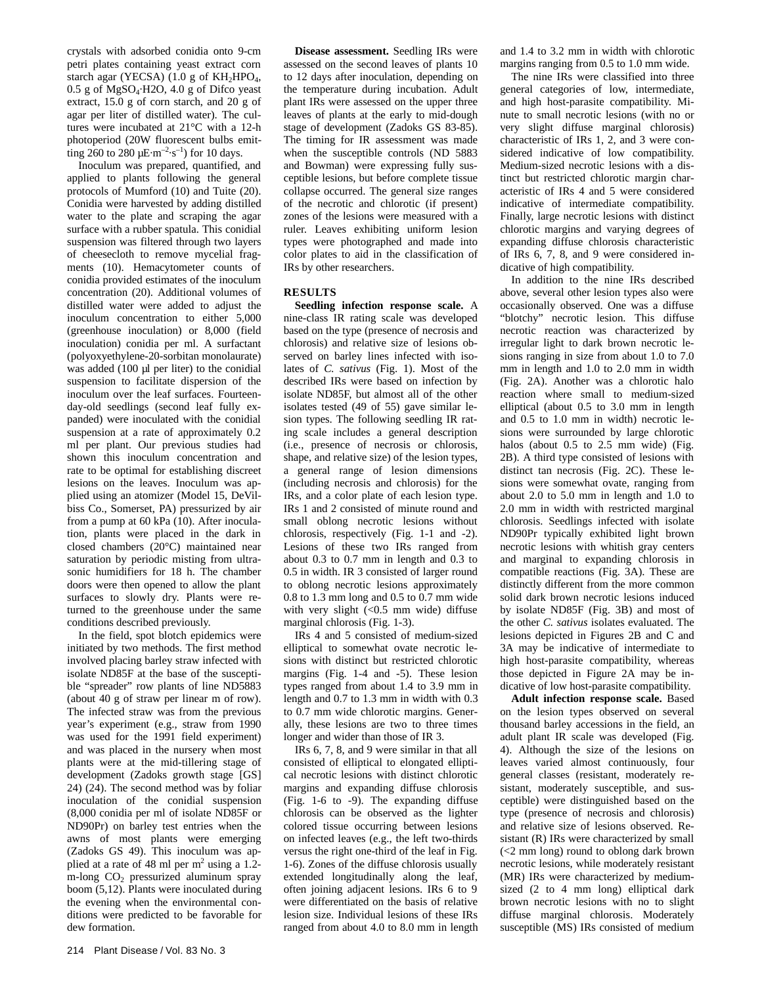crystals with adsorbed conidia onto 9-cm petri plates containing yeast extract corn starch agar (YECSA) (1.0 g of  $KH<sub>2</sub>HPO<sub>4</sub>$ , 0.5 g of MgSO4·H2O, 4.0 g of Difco yeast extract, 15.0 g of corn starch, and 20 g of agar per liter of distilled water). The cultures were incubated at 21°C with a 12-h photoperiod (20W fluorescent bulbs emitting 260 to 280  $\mu$ E·m<sup>-2</sup>·s<sup>-1</sup>) for 10 days.

Inoculum was prepared, quantified, and applied to plants following the general protocols of Mumford (10) and Tuite (20). Conidia were harvested by adding distilled water to the plate and scraping the agar surface with a rubber spatula. This conidial suspension was filtered through two layers of cheesecloth to remove mycelial fragments (10). Hemacytometer counts of conidia provided estimates of the inoculum concentration (20). Additional volumes of distilled water were added to adjust the inoculum concentration to either 5,000 (greenhouse inoculation) or 8,000 (field inoculation) conidia per ml. A surfactant (polyoxyethylene-20-sorbitan monolaurate) was added (100 µl per liter) to the conidial suspension to facilitate dispersion of the inoculum over the leaf surfaces. Fourteenday-old seedlings (second leaf fully expanded) were inoculated with the conidial suspension at a rate of approximately 0.2 ml per plant. Our previous studies had shown this inoculum concentration and rate to be optimal for establishing discreet lesions on the leaves. Inoculum was applied using an atomizer (Model 15, DeVilbiss Co., Somerset, PA) pressurized by air from a pump at 60 kPa (10). After inoculation, plants were placed in the dark in closed chambers (20°C) maintained near saturation by periodic misting from ultrasonic humidifiers for 18 h. The chamber doors were then opened to allow the plant surfaces to slowly dry. Plants were returned to the greenhouse under the same conditions described previously.

In the field, spot blotch epidemics were initiated by two methods. The first method involved placing barley straw infected with isolate ND85F at the base of the susceptible "spreader" row plants of line ND5883 (about 40 g of straw per linear m of row). The infected straw was from the previous year's experiment (e.g., straw from 1990 was used for the 1991 field experiment) and was placed in the nursery when most plants were at the mid-tillering stage of development (Zadoks growth stage [GS] 24) (24). The second method was by foliar inoculation of the conidial suspension (8,000 conidia per ml of isolate ND85F or ND90Pr) on barley test entries when the awns of most plants were emerging (Zadoks GS 49). This inoculum was applied at a rate of 48 ml per  $m<sup>2</sup>$  using a 1.2m-long  $CO<sub>2</sub>$  pressurized aluminum spray boom (5,12). Plants were inoculated during the evening when the environmental conditions were predicted to be favorable for dew formation.

**Disease assessment.** Seedling IRs were assessed on the second leaves of plants 10 to 12 days after inoculation, depending on the temperature during incubation. Adult plant IRs were assessed on the upper three leaves of plants at the early to mid-dough stage of development (Zadoks GS 83-85). The timing for IR assessment was made when the susceptible controls (ND 5883 and Bowman) were expressing fully susceptible lesions, but before complete tissue collapse occurred. The general size ranges of the necrotic and chlorotic (if present) zones of the lesions were measured with a ruler. Leaves exhibiting uniform lesion types were photographed and made into color plates to aid in the classification of IRs by other researchers.

# **RESULTS**

**Seedling infection response scale.** A nine-class IR rating scale was developed based on the type (presence of necrosis and chlorosis) and relative size of lesions observed on barley lines infected with isolates of *C. sativus* (Fig. 1). Most of the described IRs were based on infection by isolate ND85F, but almost all of the other isolates tested (49 of 55) gave similar lesion types. The following seedling IR rating scale includes a general description (i.e., presence of necrosis or chlorosis, shape, and relative size) of the lesion types, a general range of lesion dimensions (including necrosis and chlorosis) for the IRs, and a color plate of each lesion type. IRs 1 and 2 consisted of minute round and small oblong necrotic lesions without chlorosis, respectively (Fig. 1-1 and -2). Lesions of these two IRs ranged from about 0.3 to 0.7 mm in length and 0.3 to 0.5 in width. IR 3 consisted of larger round to oblong necrotic lesions approximately 0.8 to 1.3 mm long and 0.5 to 0.7 mm wide with very slight  $\left($  < 0.5 mm wide) diffuse marginal chlorosis (Fig. 1-3).

IRs 4 and 5 consisted of medium-sized elliptical to somewhat ovate necrotic lesions with distinct but restricted chlorotic margins (Fig. 1-4 and -5). These lesion types ranged from about 1.4 to 3.9 mm in length and 0.7 to 1.3 mm in width with 0.3 to 0.7 mm wide chlorotic margins. Generally, these lesions are two to three times longer and wider than those of IR 3.

IRs 6, 7, 8, and 9 were similar in that all consisted of elliptical to elongated elliptical necrotic lesions with distinct chlorotic margins and expanding diffuse chlorosis (Fig. 1-6 to -9). The expanding diffuse chlorosis can be observed as the lighter colored tissue occurring between lesions on infected leaves (e.g., the left two-thirds versus the right one-third of the leaf in Fig. 1-6). Zones of the diffuse chlorosis usually extended longitudinally along the leaf, often joining adjacent lesions. IRs 6 to 9 were differentiated on the basis of relative lesion size. Individual lesions of these IRs ranged from about 4.0 to 8.0 mm in length

and 1.4 to 3.2 mm in width with chlorotic margins ranging from 0.5 to 1.0 mm wide.

The nine IRs were classified into three general categories of low, intermediate, and high host-parasite compatibility. Minute to small necrotic lesions (with no or very slight diffuse marginal chlorosis) characteristic of IRs 1, 2, and 3 were considered indicative of low compatibility. Medium-sized necrotic lesions with a distinct but restricted chlorotic margin characteristic of IRs 4 and 5 were considered indicative of intermediate compatibility. Finally, large necrotic lesions with distinct chlorotic margins and varying degrees of expanding diffuse chlorosis characteristic of IRs 6, 7, 8, and 9 were considered indicative of high compatibility.

In addition to the nine IRs described above, several other lesion types also were occasionally observed. One was a diffuse "blotchy" necrotic lesion. This diffuse necrotic reaction was characterized by irregular light to dark brown necrotic lesions ranging in size from about 1.0 to 7.0 mm in length and 1.0 to 2.0 mm in width (Fig. 2A). Another was a chlorotic halo reaction where small to medium-sized elliptical (about 0.5 to 3.0 mm in length and 0.5 to 1.0 mm in width) necrotic lesions were surrounded by large chlorotic halos (about 0.5 to 2.5 mm wide) (Fig. 2B). A third type consisted of lesions with distinct tan necrosis (Fig. 2C). These lesions were somewhat ovate, ranging from about 2.0 to 5.0 mm in length and 1.0 to 2.0 mm in width with restricted marginal chlorosis. Seedlings infected with isolate ND90Pr typically exhibited light brown necrotic lesions with whitish gray centers and marginal to expanding chlorosis in compatible reactions (Fig. 3A). These are distinctly different from the more common solid dark brown necrotic lesions induced by isolate ND85F (Fig. 3B) and most of the other *C. sativus* isolates evaluated. The lesions depicted in Figures 2B and C and 3A may be indicative of intermediate to high host-parasite compatibility, whereas those depicted in Figure 2A may be indicative of low host-parasite compatibility.

**Adult infection response scale.** Based on the lesion types observed on several thousand barley accessions in the field, an adult plant IR scale was developed (Fig. 4). Although the size of the lesions on leaves varied almost continuously, four general classes (resistant, moderately resistant, moderately susceptible, and susceptible) were distinguished based on the type (presence of necrosis and chlorosis) and relative size of lesions observed. Resistant (R) IRs were characterized by small (<2 mm long) round to oblong dark brown necrotic lesions, while moderately resistant (MR) IRs were characterized by mediumsized (2 to 4 mm long) elliptical dark brown necrotic lesions with no to slight diffuse marginal chlorosis. Moderately susceptible (MS) IRs consisted of medium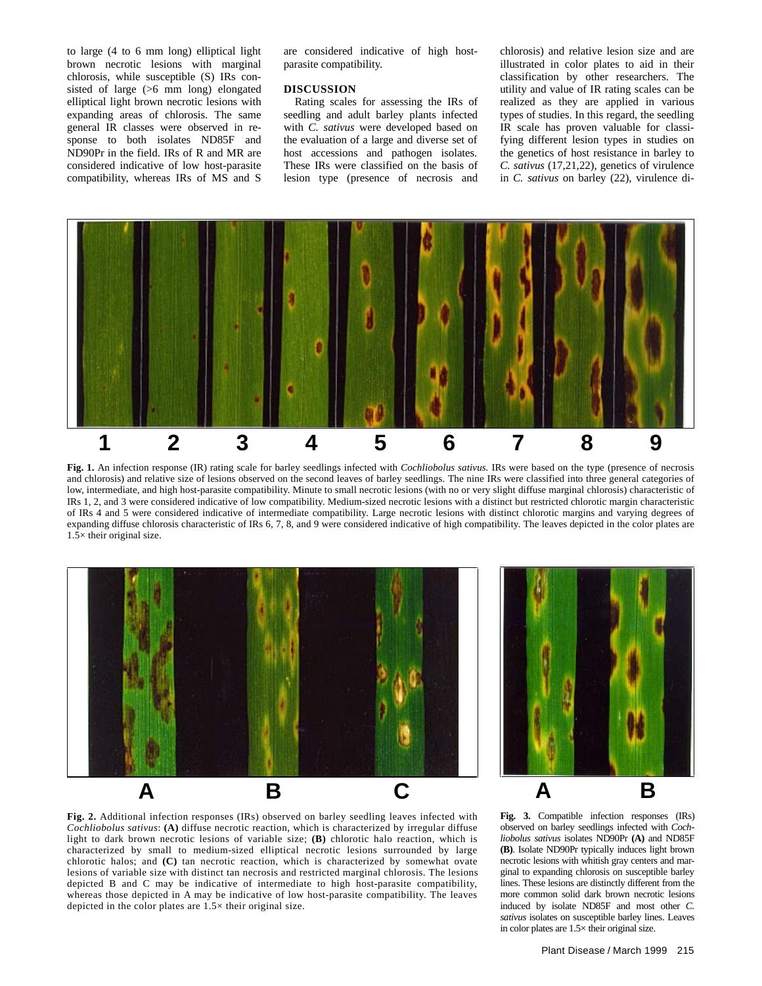to large (4 to 6 mm long) elliptical light brown necrotic lesions with marginal chlorosis, while susceptible (S) IRs consisted of large (>6 mm long) elongated elliptical light brown necrotic lesions with expanding areas of chlorosis. The same general IR classes were observed in response to both isolates ND85F and ND90Pr in the field. IRs of R and MR are considered indicative of low host-parasite compatibility, whereas IRs of MS and S

are considered indicative of high hostparasite compatibility.

## **DISCUSSION**

Rating scales for assessing the IRs of seedling and adult barley plants infected with *C. sativus* were developed based on the evaluation of a large and diverse set of host accessions and pathogen isolates. These IRs were classified on the basis of lesion type (presence of necrosis and

chlorosis) and relative lesion size and are illustrated in color plates to aid in their classification by other researchers. The utility and value of IR rating scales can be realized as they are applied in various types of studies. In this regard, the seedling IR scale has proven valuable for classifying different lesion types in studies on the genetics of host resistance in barley to *C. sativus* (17,21,22), genetics of virulence in *C. sativus* on barley (22), virulence di-



**Fig. 1.** An infection response (IR) rating scale for barley seedlings infected with *Cochliobolus sativus.* IRs were based on the type (presence of necrosis and chlorosis) and relative size of lesions observed on the second leaves of barley seedlings. The nine IRs were classified into three general categories of low, intermediate, and high host-parasite compatibility. Minute to small necrotic lesions (with no or very slight diffuse marginal chlorosis) characteristic of IRs 1, 2, and 3 were considered indicative of low compatibility. Medium-sized necrotic lesions with a distinct but restricted chlorotic margin characteristic of IRs 4 and 5 were considered indicative of intermediate compatibility. Large necrotic lesions with distinct chlorotic margins and varying degrees of expanding diffuse chlorosis characteristic of IRs 6, 7, 8, and 9 were considered indicative of high compatibility. The leaves depicted in the color plates are 1.5× their original size.







**Fig. 3.** Compatible infection responses (IRs) observed on barley seedlings infected with *Cochliobolus sativus* isolates ND90Pr **(A)** and ND85F **(B)**. Isolate ND90Pr typically induces light brown necrotic lesions with whitish gray centers and marginal to expanding chlorosis on susceptible barley lines. These lesions are distinctly different from the more common solid dark brown necrotic lesions induced by isolate ND85F and most other *C. sativus* isolates on susceptible barley lines. Leaves in color plates are 1.5× their original size.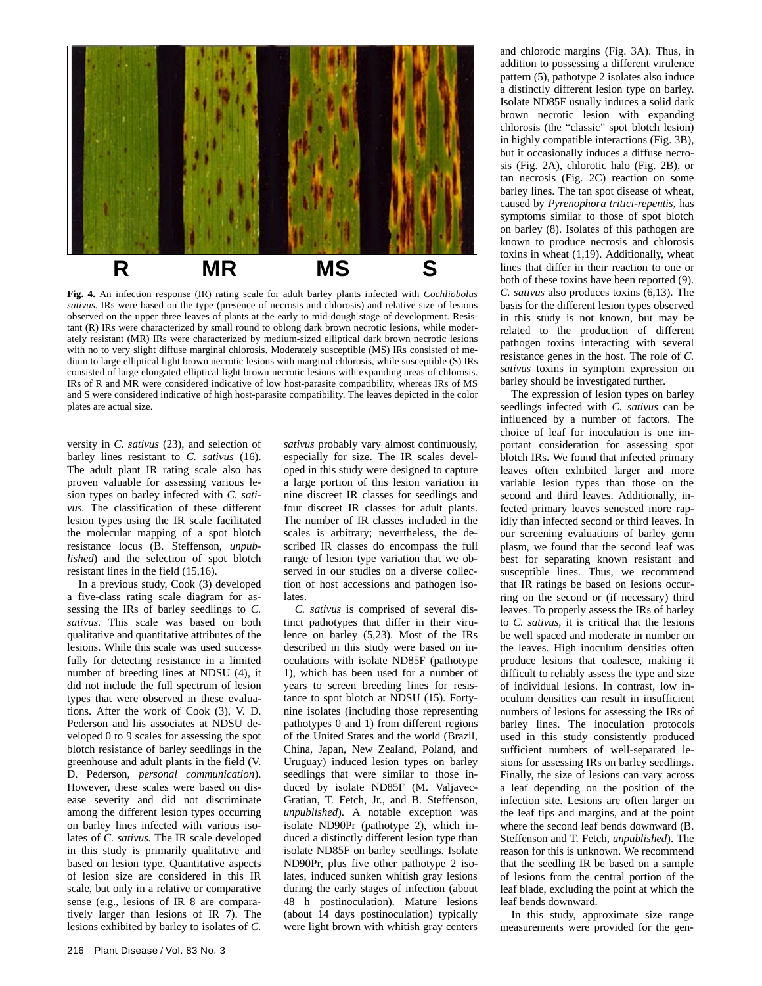

**Fig. 4.** An infection response (IR) rating scale for adult barley plants infected with *Cochliobolus sativus.* IRs were based on the type (presence of necrosis and chlorosis) and relative size of lesions observed on the upper three leaves of plants at the early to mid-dough stage of development. Resistant (R) IRs were characterized by small round to oblong dark brown necrotic lesions, while moderately resistant (MR) IRs were characterized by medium-sized elliptical dark brown necrotic lesions with no to very slight diffuse marginal chlorosis. Moderately susceptible (MS) IRs consisted of medium to large elliptical light brown necrotic lesions with marginal chlorosis, while susceptible (S) IRs consisted of large elongated elliptical light brown necrotic lesions with expanding areas of chlorosis. IRs of R and MR were considered indicative of low host-parasite compatibility, whereas IRs of MS and S were considered indicative of high host-parasite compatibility. The leaves depicted in the color plates are actual size.

versity in *C. sativus* (23), and selection of barley lines resistant to *C. sativus* (16). The adult plant IR rating scale also has proven valuable for assessing various lesion types on barley infected with *C. sativus.* The classification of these different lesion types using the IR scale facilitated the molecular mapping of a spot blotch resistance locus (B. Steffenson, *unpublished*) and the selection of spot blotch resistant lines in the field (15,16).

In a previous study, Cook (3) developed a five-class rating scale diagram for assessing the IRs of barley seedlings to *C. sativus.* This scale was based on both qualitative and quantitative attributes of the lesions. While this scale was used successfully for detecting resistance in a limited number of breeding lines at NDSU (4), it did not include the full spectrum of lesion types that were observed in these evaluations. After the work of Cook (3), V. D. Pederson and his associates at NDSU developed 0 to 9 scales for assessing the spot blotch resistance of barley seedlings in the greenhouse and adult plants in the field (V. D. Pederson, *personal communication*). However, these scales were based on disease severity and did not discriminate among the different lesion types occurring on barley lines infected with various isolates of *C. sativus.* The IR scale developed in this study is primarily qualitative and based on lesion type. Quantitative aspects of lesion size are considered in this IR scale, but only in a relative or comparative sense (e.g., lesions of IR 8 are comparatively larger than lesions of IR 7). The lesions exhibited by barley to isolates of *C.*

*sativus* probably vary almost continuously, especially for size. The IR scales developed in this study were designed to capture a large portion of this lesion variation in nine discreet IR classes for seedlings and four discreet IR classes for adult plants. The number of IR classes included in the scales is arbitrary; nevertheless, the described IR classes do encompass the full range of lesion type variation that we observed in our studies on a diverse collection of host accessions and pathogen isolates.

*C. sativus* is comprised of several distinct pathotypes that differ in their virulence on barley (5,23). Most of the IRs described in this study were based on inoculations with isolate ND85F (pathotype 1), which has been used for a number of years to screen breeding lines for resistance to spot blotch at NDSU (15). Fortynine isolates (including those representing pathotypes 0 and 1) from different regions of the United States and the world (Brazil, China, Japan, New Zealand, Poland, and Uruguay) induced lesion types on barley seedlings that were similar to those induced by isolate ND85F (M. Valjavec-Gratian, T. Fetch, Jr., and B. Steffenson, *unpublished*). A notable exception was isolate ND90Pr (pathotype 2), which induced a distinctly different lesion type than isolate ND85F on barley seedlings. Isolate ND90Pr, plus five other pathotype 2 isolates, induced sunken whitish gray lesions during the early stages of infection (about 48 h postinoculation). Mature lesions (about 14 days postinoculation) typically were light brown with whitish gray centers

and chlorotic margins (Fig. 3A). Thus, in addition to possessing a different virulence pattern (5), pathotype 2 isolates also induce a distinctly different lesion type on barley. Isolate ND85F usually induces a solid dark brown necrotic lesion with expanding chlorosis (the "classic" spot blotch lesion) in highly compatible interactions (Fig. 3B), but it occasionally induces a diffuse necrosis (Fig. 2A), chlorotic halo (Fig. 2B), or tan necrosis (Fig. 2C) reaction on some barley lines. The tan spot disease of wheat, caused by *Pyrenophora tritici-repentis,* has symptoms similar to those of spot blotch on barley (8). Isolates of this pathogen are known to produce necrosis and chlorosis toxins in wheat (1,19). Additionally, wheat lines that differ in their reaction to one or both of these toxins have been reported (9). *C. sativus* also produces toxins (6,13). The basis for the different lesion types observed in this study is not known, but may be related to the production of different pathogen toxins interacting with several resistance genes in the host. The role of *C. sativus* toxins in symptom expression on barley should be investigated further.

The expression of lesion types on barley seedlings infected with *C. sativus* can be influenced by a number of factors. The choice of leaf for inoculation is one important consideration for assessing spot blotch IRs. We found that infected primary leaves often exhibited larger and more variable lesion types than those on the second and third leaves. Additionally, infected primary leaves senesced more rapidly than infected second or third leaves. In our screening evaluations of barley germ plasm, we found that the second leaf was best for separating known resistant and susceptible lines. Thus, we recommend that IR ratings be based on lesions occurring on the second or (if necessary) third leaves. To properly assess the IRs of barley to *C. sativus,* it is critical that the lesions be well spaced and moderate in number on the leaves. High inoculum densities often produce lesions that coalesce, making it difficult to reliably assess the type and size of individual lesions. In contrast, low inoculum densities can result in insufficient numbers of lesions for assessing the IRs of barley lines. The inoculation protocols used in this study consistently produced sufficient numbers of well-separated lesions for assessing IRs on barley seedlings. Finally, the size of lesions can vary across a leaf depending on the position of the infection site. Lesions are often larger on the leaf tips and margins, and at the point where the second leaf bends downward (B. Steffenson and T. Fetch, *unpublished*). The reason for this is unknown. We recommend that the seedling IR be based on a sample of lesions from the central portion of the leaf blade, excluding the point at which the leaf bends downward.

In this study, approximate size range measurements were provided for the gen-